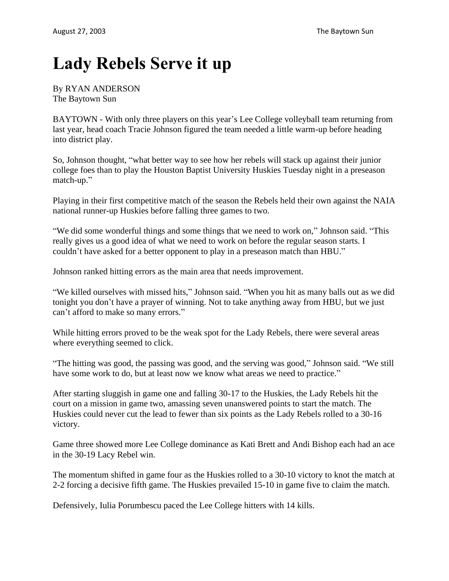## **Lady Rebels Serve it up**

## By RYAN ANDERSON The Baytown Sun

BAYTOWN - With only three players on this year's Lee College volleyball team returning from last year, head coach Tracie Johnson figured the team needed a little warm-up before heading into district play.

So, Johnson thought, "what better way to see how her rebels will stack up against their junior college foes than to play the Houston Baptist University Huskies Tuesday night in a preseason match-up."

Playing in their first competitive match of the season the Rebels held their own against the NAIA national runner-up Huskies before falling three games to two.

"We did some wonderful things and some things that we need to work on," Johnson said. "This really gives us a good idea of what we need to work on before the regular season starts. I couldn't have asked for a better opponent to play in a preseason match than HBU."

Johnson ranked hitting errors as the main area that needs improvement.

"We killed ourselves with missed hits," Johnson said. "When you hit as many balls out as we did tonight you don't have a prayer of winning. Not to take anything away from HBU, but we just can't afford to make so many errors."

While hitting errors proved to be the weak spot for the Lady Rebels, there were several areas where everything seemed to click.

"The hitting was good, the passing was good, and the serving was good," Johnson said. "We still have some work to do, but at least now we know what areas we need to practice."

After starting sluggish in game one and falling 30-17 to the Huskies, the Lady Rebels hit the court on a mission in game two, amassing seven unanswered points to start the match. The Huskies could never cut the lead to fewer than six points as the Lady Rebels rolled to a 30-16 victory.

Game three showed more Lee College dominance as Kati Brett and Andi Bishop each had an ace in the 30-19 Lacy Rebel win.

The momentum shifted in game four as the Huskies rolled to a 30-10 victory to knot the match at 2-2 forcing a decisive fifth game. The Huskies prevailed 15-10 in game five to claim the match.

Defensively, Iulia Porumbescu paced the Lee College hitters with 14 kills.